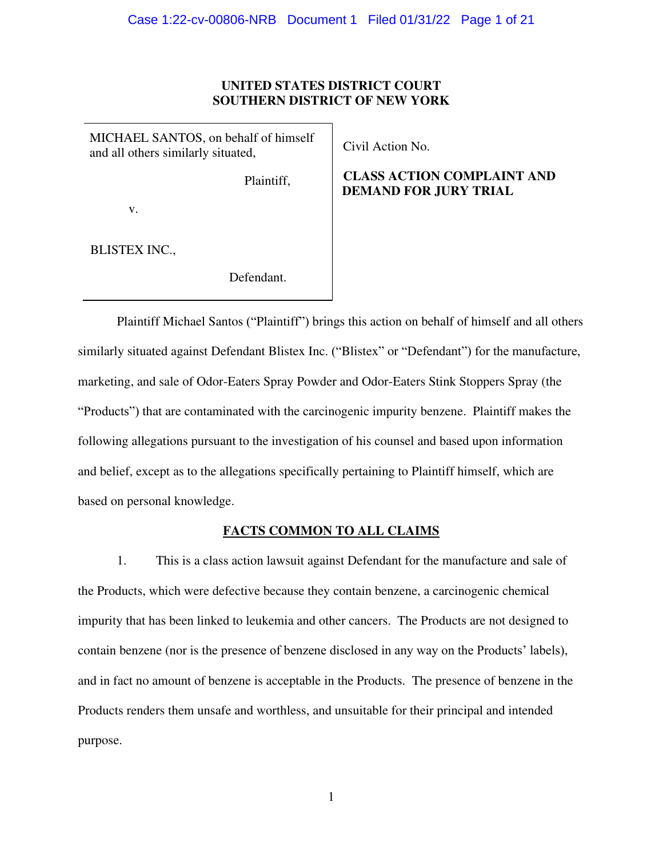# **UNITED STATES DISTRICT COURT SOUTHERN DISTRICT OF NEW YORK**

MICHAEL SANTOS, on behalf of himself and all others similarly situated,

Plaintiff,

v.

BLISTEX INC.,

Defendant.

Civil Action No.

# **CLASS ACTION COMPLAINT AND DEMAND FOR JURY TRIAL**

Plaintiff Michael Santos ("Plaintiff") brings this action on behalf of himself and all others similarly situated against Defendant Blistex Inc. ("Blistex" or "Defendant") for the manufacture, marketing, and sale of Odor-Eaters Spray Powder and Odor-Eaters Stink Stoppers Spray (the "Products") that are contaminated with the carcinogenic impurity benzene. Plaintiff makes the following allegations pursuant to the investigation of his counsel and based upon information and belief, except as to the allegations specifically pertaining to Plaintiff himself, which are based on personal knowledge.

# **FACTS COMMON TO ALL CLAIMS**

1. This is a class action lawsuit against Defendant for the manufacture and sale of the Products, which were defective because they contain benzene, a carcinogenic chemical impurity that has been linked to leukemia and other cancers. The Products are not designed to contain benzene (nor is the presence of benzene disclosed in any way on the Products' labels), and in fact no amount of benzene is acceptable in the Products. The presence of benzene in the Products renders them unsafe and worthless, and unsuitable for their principal and intended purpose.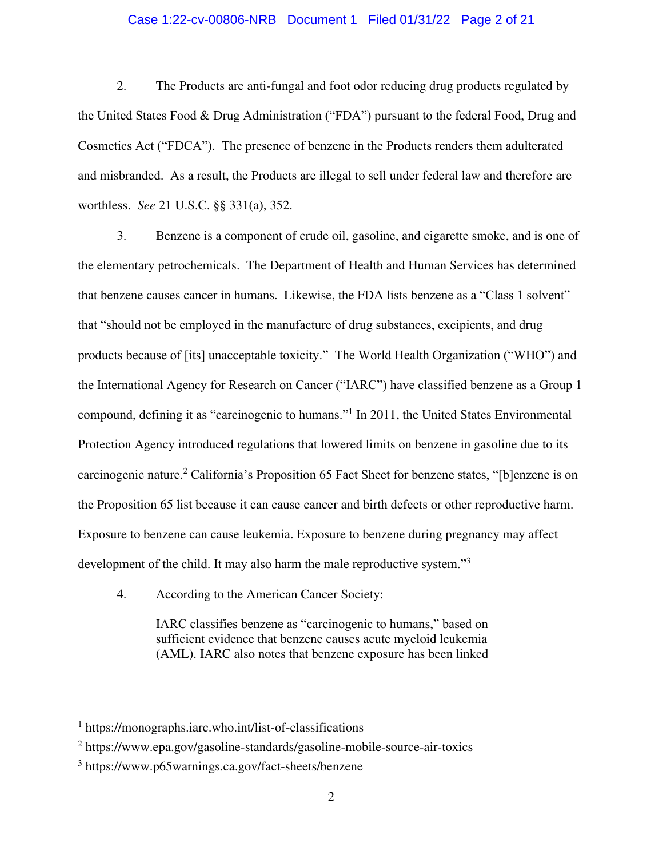# Case 1:22-cv-00806-NRB Document 1 Filed 01/31/22 Page 2 of 21

2. The Products are anti-fungal and foot odor reducing drug products regulated by the United States Food & Drug Administration ("FDA") pursuant to the federal Food, Drug and Cosmetics Act ("FDCA"). The presence of benzene in the Products renders them adulterated and misbranded. As a result, the Products are illegal to sell under federal law and therefore are worthless. *See* 21 U.S.C. §§ 331(a), 352.

3. Benzene is a component of crude oil, gasoline, and cigarette smoke, and is one of the elementary petrochemicals. The Department of Health and Human Services has determined that benzene causes cancer in humans. Likewise, the FDA lists benzene as a "Class 1 solvent" that "should not be employed in the manufacture of drug substances, excipients, and drug products because of [its] unacceptable toxicity." The World Health Organization ("WHO") and the International Agency for Research on Cancer ("IARC") have classified benzene as a Group 1 compound, defining it as "carcinogenic to humans."<sup>1</sup> In 2011, the United States Environmental Protection Agency introduced regulations that lowered limits on benzene in gasoline due to its carcinogenic nature.<sup>2</sup> California's Proposition 65 Fact Sheet for benzene states, "[b]enzene is on the Proposition 65 list because it can cause cancer and birth defects or other reproductive harm. Exposure to benzene can cause leukemia. Exposure to benzene during pregnancy may affect development of the child. It may also harm the male reproductive system."<sup>3</sup>

4. According to the American Cancer Society:

IARC classifies benzene as "carcinogenic to humans," based on sufficient evidence that benzene causes acute myeloid leukemia (AML). IARC also notes that benzene exposure has been linked

<sup>1</sup> https://monographs.iarc.who.int/list-of-classifications

<sup>&</sup>lt;sup>2</sup> https://www.epa.gov/gasoline-standards/gasoline-mobile-source-air-toxics

<sup>3</sup> https://www.p65warnings.ca.gov/fact-sheets/benzene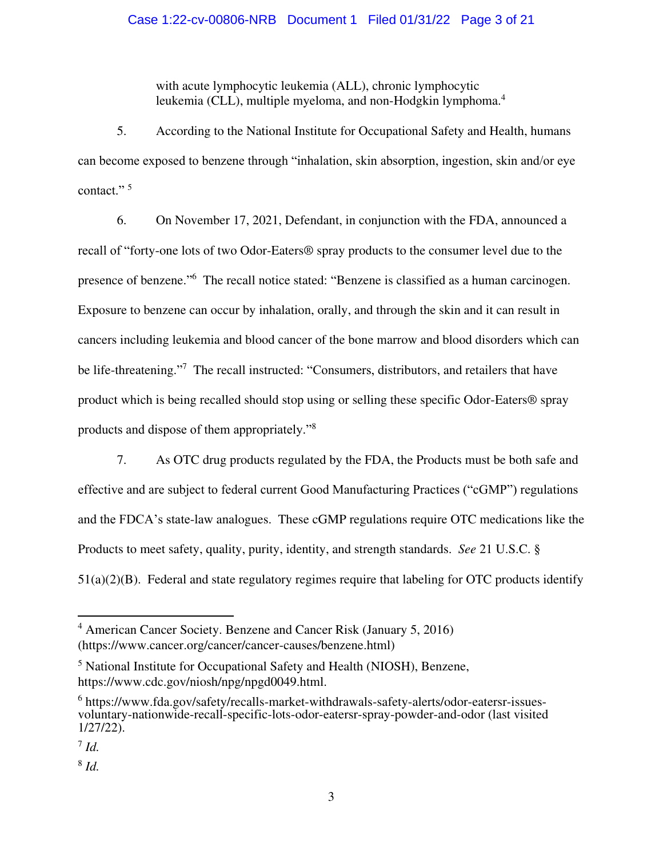with acute lymphocytic leukemia (ALL), chronic lymphocytic leukemia (CLL), multiple myeloma, and non-Hodgkin lymphoma.<sup>4</sup>

5. According to the National Institute for Occupational Safety and Health, humans can become exposed to benzene through "inhalation, skin absorption, ingestion, skin and/or eye contact."<sup>5</sup>

6. On November 17, 2021, Defendant, in conjunction with the FDA, announced a recall of "forty-one lots of two Odor-Eaters® spray products to the consumer level due to the presence of benzene."<sup>6</sup> The recall notice stated: "Benzene is classified as a human carcinogen. Exposure to benzene can occur by inhalation, orally, and through the skin and it can result in cancers including leukemia and blood cancer of the bone marrow and blood disorders which can be life-threatening."<sup>7</sup> The recall instructed: "Consumers, distributors, and retailers that have product which is being recalled should stop using or selling these specific Odor-Eaters® spray products and dispose of them appropriately."<sup>8</sup>

7. As OTC drug products regulated by the FDA, the Products must be both safe and effective and are subject to federal current Good Manufacturing Practices ("cGMP") regulations and the FDCA's state-law analogues. These cGMP regulations require OTC medications like the Products to meet safety, quality, purity, identity, and strength standards. *See* 21 U.S.C. § 51(a)(2)(B). Federal and state regulatory regimes require that labeling for OTC products identify

<sup>4</sup> American Cancer Society. Benzene and Cancer Risk (January 5, 2016) (https://www.cancer.org/cancer/cancer-causes/benzene.html)

<sup>&</sup>lt;sup>5</sup> National Institute for Occupational Safety and Health (NIOSH), Benzene, https://www.cdc.gov/niosh/npg/npgd0049.html.

<sup>&</sup>lt;sup>6</sup> https://www.fda.gov/safety/recalls-market-withdrawals-safety-alerts/odor-eatersr-issuesvoluntary-nationwide-recall-specific-lots-odor-eatersr-spray-powder-and-odor (last visited 1/27/22).

<sup>7</sup> *Id.* 

<sup>8</sup> *Id.*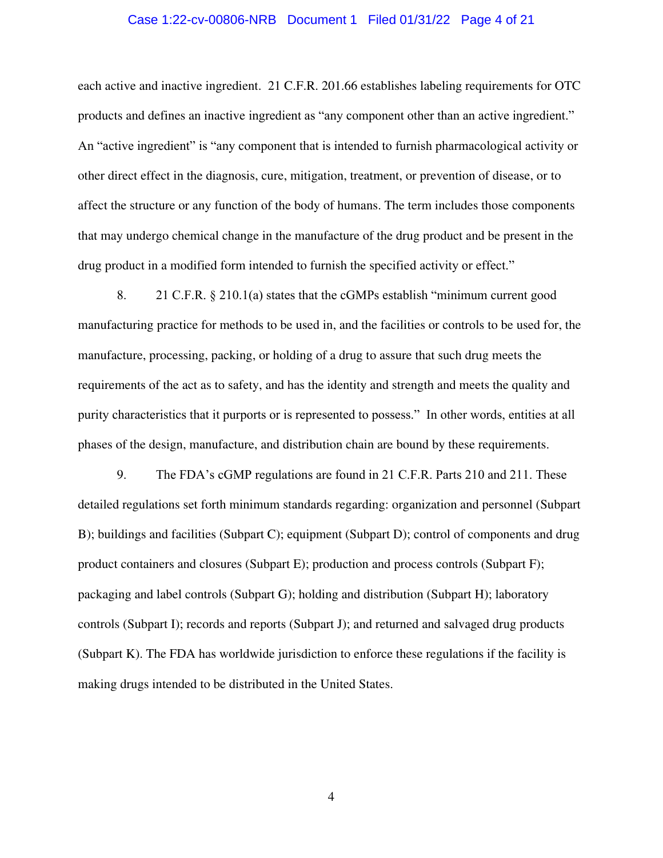#### Case 1:22-cv-00806-NRB Document 1 Filed 01/31/22 Page 4 of 21

each active and inactive ingredient. 21 C.F.R. 201.66 establishes labeling requirements for OTC products and defines an inactive ingredient as "any component other than an active ingredient." An "active ingredient" is "any component that is intended to furnish pharmacological activity or other direct effect in the diagnosis, cure, mitigation, treatment, or prevention of disease, or to affect the structure or any function of the body of humans. The term includes those components that may undergo chemical change in the manufacture of the drug product and be present in the drug product in a modified form intended to furnish the specified activity or effect."

8. 21 C.F.R. § 210.1(a) states that the cGMPs establish "minimum current good manufacturing practice for methods to be used in, and the facilities or controls to be used for, the manufacture, processing, packing, or holding of a drug to assure that such drug meets the requirements of the act as to safety, and has the identity and strength and meets the quality and purity characteristics that it purports or is represented to possess." In other words, entities at all phases of the design, manufacture, and distribution chain are bound by these requirements.

9. The FDA's cGMP regulations are found in 21 C.F.R. Parts 210 and 211. These detailed regulations set forth minimum standards regarding: organization and personnel (Subpart B); buildings and facilities (Subpart C); equipment (Subpart D); control of components and drug product containers and closures (Subpart E); production and process controls (Subpart F); packaging and label controls (Subpart G); holding and distribution (Subpart H); laboratory controls (Subpart I); records and reports (Subpart J); and returned and salvaged drug products (Subpart K). The FDA has worldwide jurisdiction to enforce these regulations if the facility is making drugs intended to be distributed in the United States.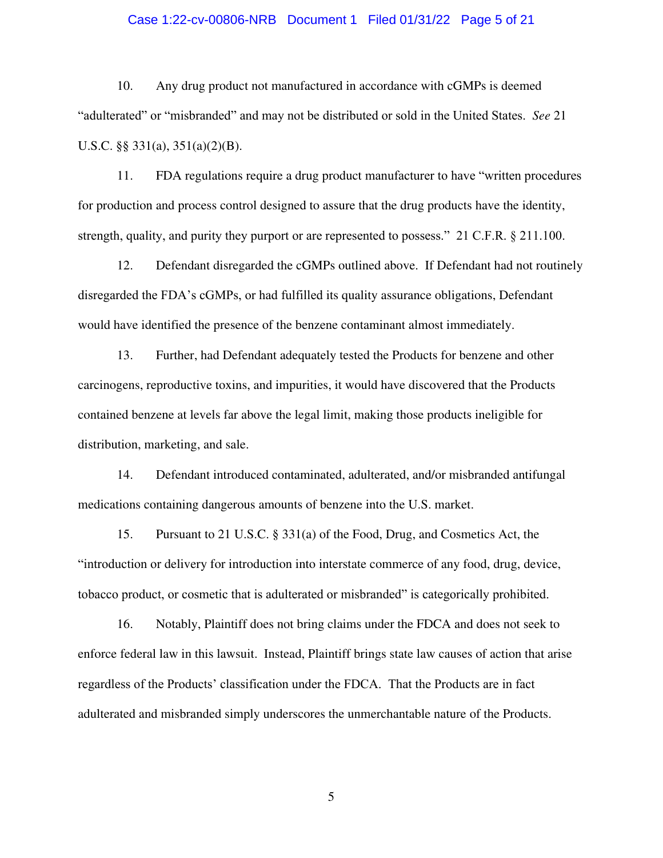# Case 1:22-cv-00806-NRB Document 1 Filed 01/31/22 Page 5 of 21

10. Any drug product not manufactured in accordance with cGMPs is deemed "adulterated" or "misbranded" and may not be distributed or sold in the United States. *See* 21 U.S.C. §§ 331(a), 351(a)(2)(B).

11. FDA regulations require a drug product manufacturer to have "written procedures for production and process control designed to assure that the drug products have the identity, strength, quality, and purity they purport or are represented to possess." 21 C.F.R. § 211.100.

12. Defendant disregarded the cGMPs outlined above. If Defendant had not routinely disregarded the FDA's cGMPs, or had fulfilled its quality assurance obligations, Defendant would have identified the presence of the benzene contaminant almost immediately.

13. Further, had Defendant adequately tested the Products for benzene and other carcinogens, reproductive toxins, and impurities, it would have discovered that the Products contained benzene at levels far above the legal limit, making those products ineligible for distribution, marketing, and sale.

14. Defendant introduced contaminated, adulterated, and/or misbranded antifungal medications containing dangerous amounts of benzene into the U.S. market.

15. Pursuant to 21 U.S.C. § 331(a) of the Food, Drug, and Cosmetics Act, the "introduction or delivery for introduction into interstate commerce of any food, drug, device, tobacco product, or cosmetic that is adulterated or misbranded" is categorically prohibited.

16. Notably, Plaintiff does not bring claims under the FDCA and does not seek to enforce federal law in this lawsuit. Instead, Plaintiff brings state law causes of action that arise regardless of the Products' classification under the FDCA. That the Products are in fact adulterated and misbranded simply underscores the unmerchantable nature of the Products.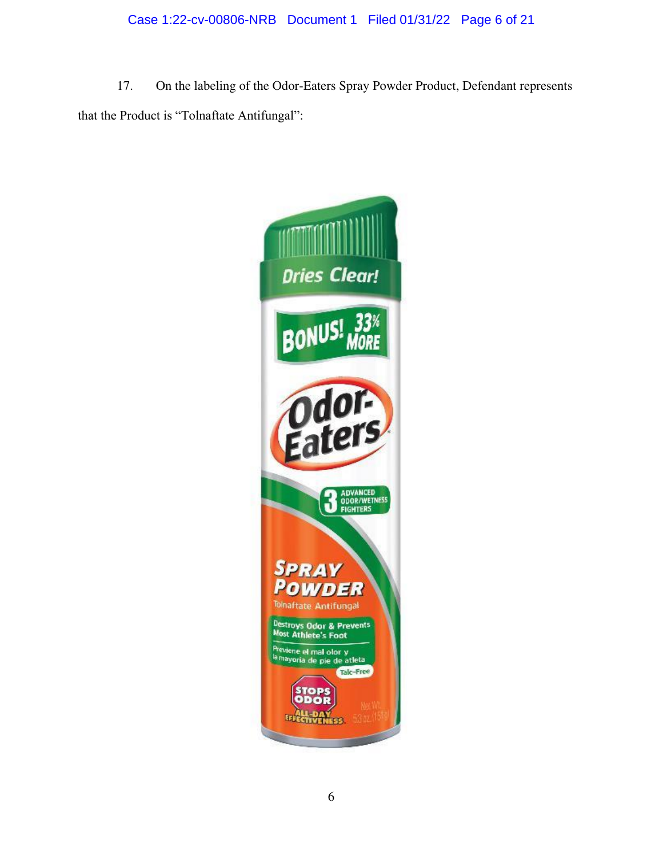# Case 1:22-cv-00806-NRB Document 1 Filed 01/31/22 Page 6 of 21

17. On the labeling of the Odor-Eaters Spray Powder Product, Defendant represents that the Product is "Tolnaftate Antifungal":

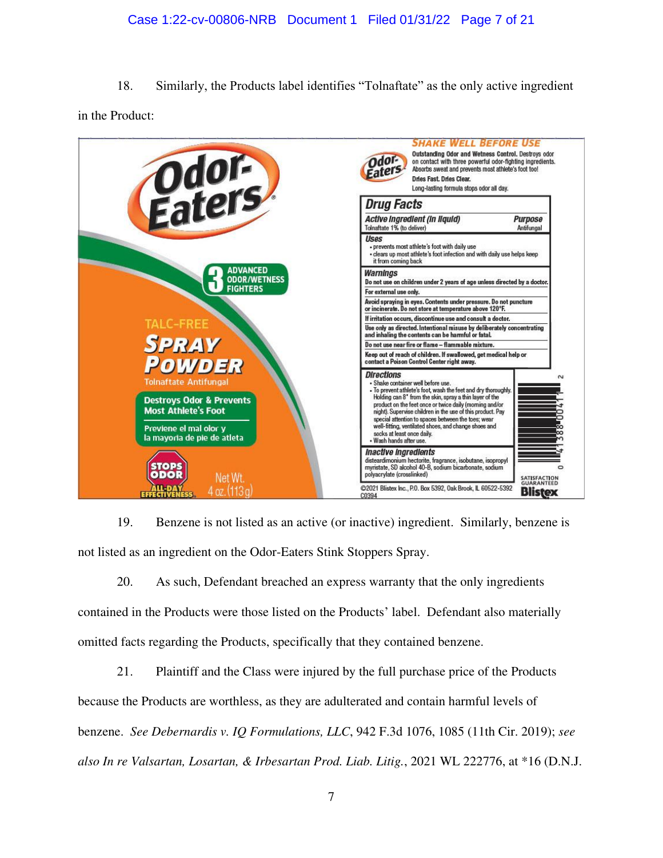# Case 1:22-cv-00806-NRB Document 1 Filed 01/31/22 Page 7 of 21

18. Similarly, the Products label identifies "Tolnaftate" as the only active ingredient in the Product:



19. Benzene is not listed as an active (or inactive) ingredient. Similarly, benzene is not listed as an ingredient on the Odor-Eaters Stink Stoppers Spray.

20. As such, Defendant breached an express warranty that the only ingredients contained in the Products were those listed on the Products' label. Defendant also materially omitted facts regarding the Products, specifically that they contained benzene.

21. Plaintiff and the Class were injured by the full purchase price of the Products because the Products are worthless, as they are adulterated and contain harmful levels of benzene. *See Debernardis v. IQ Formulations, LLC*, 942 F.3d 1076, 1085 (11th Cir. 2019); *see also In re Valsartan, Losartan, & Irbesartan Prod. Liab. Litig.*, 2021 WL 222776, at \*16 (D.N.J.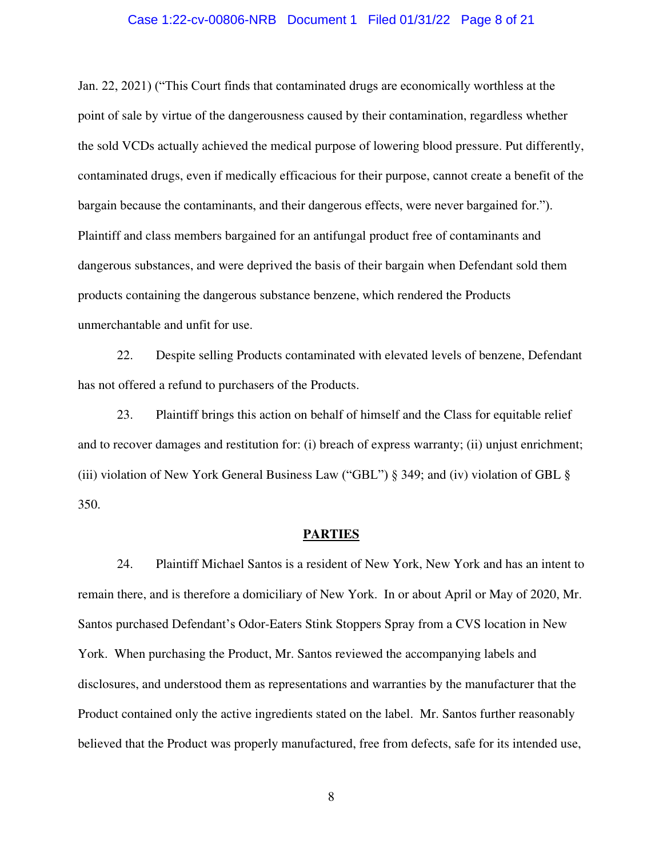### Case 1:22-cv-00806-NRB Document 1 Filed 01/31/22 Page 8 of 21

Jan. 22, 2021) ("This Court finds that contaminated drugs are economically worthless at the point of sale by virtue of the dangerousness caused by their contamination, regardless whether the sold VCDs actually achieved the medical purpose of lowering blood pressure. Put differently, contaminated drugs, even if medically efficacious for their purpose, cannot create a benefit of the bargain because the contaminants, and their dangerous effects, were never bargained for."). Plaintiff and class members bargained for an antifungal product free of contaminants and dangerous substances, and were deprived the basis of their bargain when Defendant sold them products containing the dangerous substance benzene, which rendered the Products unmerchantable and unfit for use.

22. Despite selling Products contaminated with elevated levels of benzene, Defendant has not offered a refund to purchasers of the Products.

23. Plaintiff brings this action on behalf of himself and the Class for equitable relief and to recover damages and restitution for: (i) breach of express warranty; (ii) unjust enrichment; (iii) violation of New York General Business Law ("GBL") § 349; and (iv) violation of GBL § 350.

#### **PARTIES**

24. Plaintiff Michael Santos is a resident of New York, New York and has an intent to remain there, and is therefore a domiciliary of New York. In or about April or May of 2020, Mr. Santos purchased Defendant's Odor-Eaters Stink Stoppers Spray from a CVS location in New York. When purchasing the Product, Mr. Santos reviewed the accompanying labels and disclosures, and understood them as representations and warranties by the manufacturer that the Product contained only the active ingredients stated on the label. Mr. Santos further reasonably believed that the Product was properly manufactured, free from defects, safe for its intended use,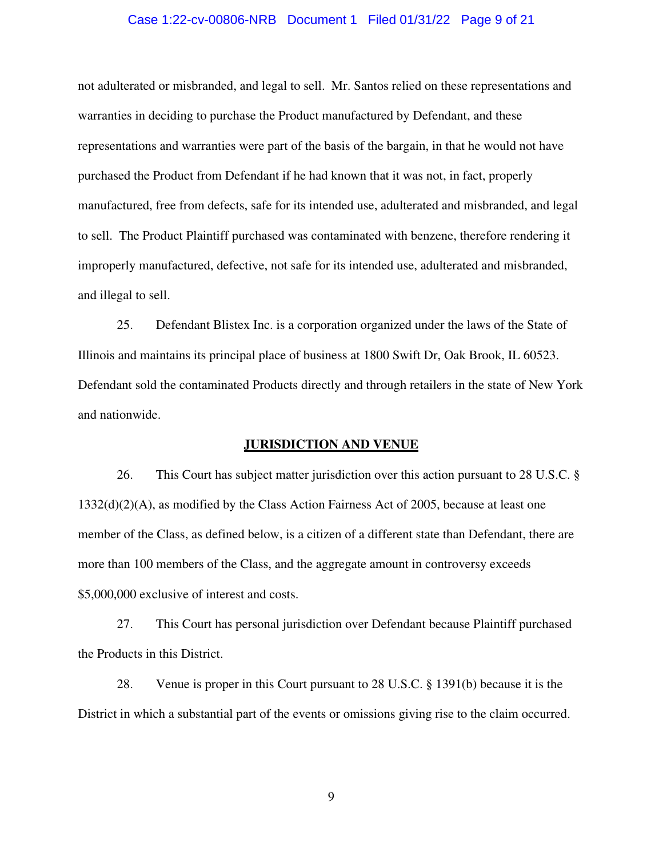#### Case 1:22-cv-00806-NRB Document 1 Filed 01/31/22 Page 9 of 21

not adulterated or misbranded, and legal to sell. Mr. Santos relied on these representations and warranties in deciding to purchase the Product manufactured by Defendant, and these representations and warranties were part of the basis of the bargain, in that he would not have purchased the Product from Defendant if he had known that it was not, in fact, properly manufactured, free from defects, safe for its intended use, adulterated and misbranded, and legal to sell. The Product Plaintiff purchased was contaminated with benzene, therefore rendering it improperly manufactured, defective, not safe for its intended use, adulterated and misbranded, and illegal to sell.

25. Defendant Blistex Inc. is a corporation organized under the laws of the State of Illinois and maintains its principal place of business at 1800 Swift Dr, Oak Brook, IL 60523. Defendant sold the contaminated Products directly and through retailers in the state of New York and nationwide.

#### **JURISDICTION AND VENUE**

26. This Court has subject matter jurisdiction over this action pursuant to 28 U.S.C. § 1332(d)(2)(A), as modified by the Class Action Fairness Act of 2005, because at least one member of the Class, as defined below, is a citizen of a different state than Defendant, there are more than 100 members of the Class, and the aggregate amount in controversy exceeds \$5,000,000 exclusive of interest and costs.

27. This Court has personal jurisdiction over Defendant because Plaintiff purchased the Products in this District.

28. Venue is proper in this Court pursuant to 28 U.S.C. § 1391(b) because it is the District in which a substantial part of the events or omissions giving rise to the claim occurred.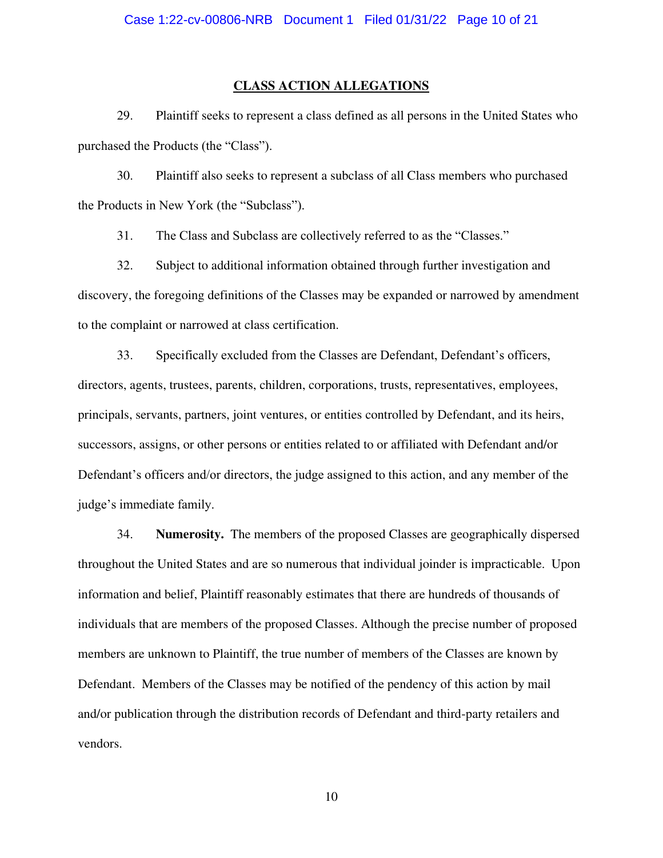# **CLASS ACTION ALLEGATIONS**

29. Plaintiff seeks to represent a class defined as all persons in the United States who purchased the Products (the "Class").

30. Plaintiff also seeks to represent a subclass of all Class members who purchased the Products in New York (the "Subclass").

31. The Class and Subclass are collectively referred to as the "Classes."

32. Subject to additional information obtained through further investigation and discovery, the foregoing definitions of the Classes may be expanded or narrowed by amendment to the complaint or narrowed at class certification.

33. Specifically excluded from the Classes are Defendant, Defendant's officers, directors, agents, trustees, parents, children, corporations, trusts, representatives, employees, principals, servants, partners, joint ventures, or entities controlled by Defendant, and its heirs, successors, assigns, or other persons or entities related to or affiliated with Defendant and/or Defendant's officers and/or directors, the judge assigned to this action, and any member of the judge's immediate family.

34. **Numerosity.** The members of the proposed Classes are geographically dispersed throughout the United States and are so numerous that individual joinder is impracticable. Upon information and belief, Plaintiff reasonably estimates that there are hundreds of thousands of individuals that are members of the proposed Classes. Although the precise number of proposed members are unknown to Plaintiff, the true number of members of the Classes are known by Defendant. Members of the Classes may be notified of the pendency of this action by mail and/or publication through the distribution records of Defendant and third-party retailers and vendors.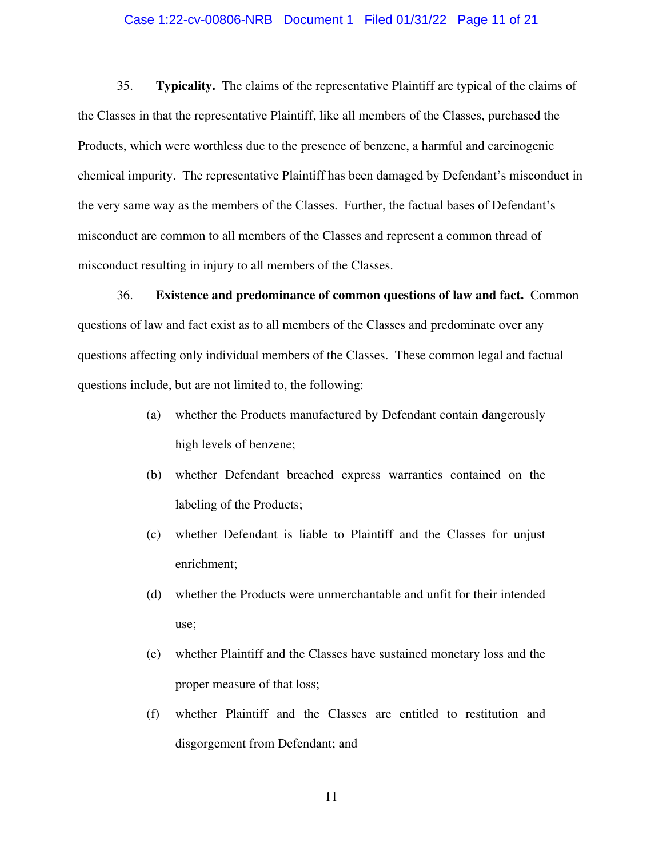## Case 1:22-cv-00806-NRB Document 1 Filed 01/31/22 Page 11 of 21

35. **Typicality.** The claims of the representative Plaintiff are typical of the claims of the Classes in that the representative Plaintiff, like all members of the Classes, purchased the Products, which were worthless due to the presence of benzene, a harmful and carcinogenic chemical impurity. The representative Plaintiff has been damaged by Defendant's misconduct in the very same way as the members of the Classes. Further, the factual bases of Defendant's misconduct are common to all members of the Classes and represent a common thread of misconduct resulting in injury to all members of the Classes.

36. **Existence and predominance of common questions of law and fact.** Common questions of law and fact exist as to all members of the Classes and predominate over any questions affecting only individual members of the Classes. These common legal and factual questions include, but are not limited to, the following:

- (a) whether the Products manufactured by Defendant contain dangerously high levels of benzene;
- (b) whether Defendant breached express warranties contained on the labeling of the Products;
- (c) whether Defendant is liable to Plaintiff and the Classes for unjust enrichment;
- (d) whether the Products were unmerchantable and unfit for their intended use;
- (e) whether Plaintiff and the Classes have sustained monetary loss and the proper measure of that loss;
- (f) whether Plaintiff and the Classes are entitled to restitution and disgorgement from Defendant; and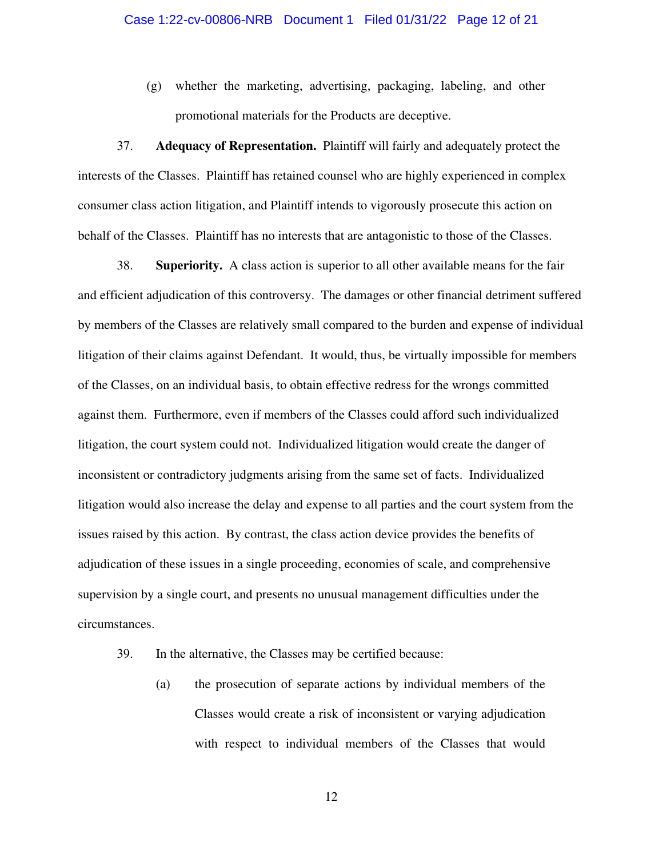(g) whether the marketing, advertising, packaging, labeling, and other promotional materials for the Products are deceptive.

37. **Adequacy of Representation.** Plaintiff will fairly and adequately protect the interests of the Classes. Plaintiff has retained counsel who are highly experienced in complex consumer class action litigation, and Plaintiff intends to vigorously prosecute this action on behalf of the Classes. Plaintiff has no interests that are antagonistic to those of the Classes.

38. **Superiority.** A class action is superior to all other available means for the fair and efficient adjudication of this controversy. The damages or other financial detriment suffered by members of the Classes are relatively small compared to the burden and expense of individual litigation of their claims against Defendant. It would, thus, be virtually impossible for members of the Classes, on an individual basis, to obtain effective redress for the wrongs committed against them. Furthermore, even if members of the Classes could afford such individualized litigation, the court system could not. Individualized litigation would create the danger of inconsistent or contradictory judgments arising from the same set of facts. Individualized litigation would also increase the delay and expense to all parties and the court system from the issues raised by this action. By contrast, the class action device provides the benefits of adjudication of these issues in a single proceeding, economies of scale, and comprehensive supervision by a single court, and presents no unusual management difficulties under the circumstances.

- 39. In the alternative, the Classes may be certified because:
	- (a) the prosecution of separate actions by individual members of the Classes would create a risk of inconsistent or varying adjudication with respect to individual members of the Classes that would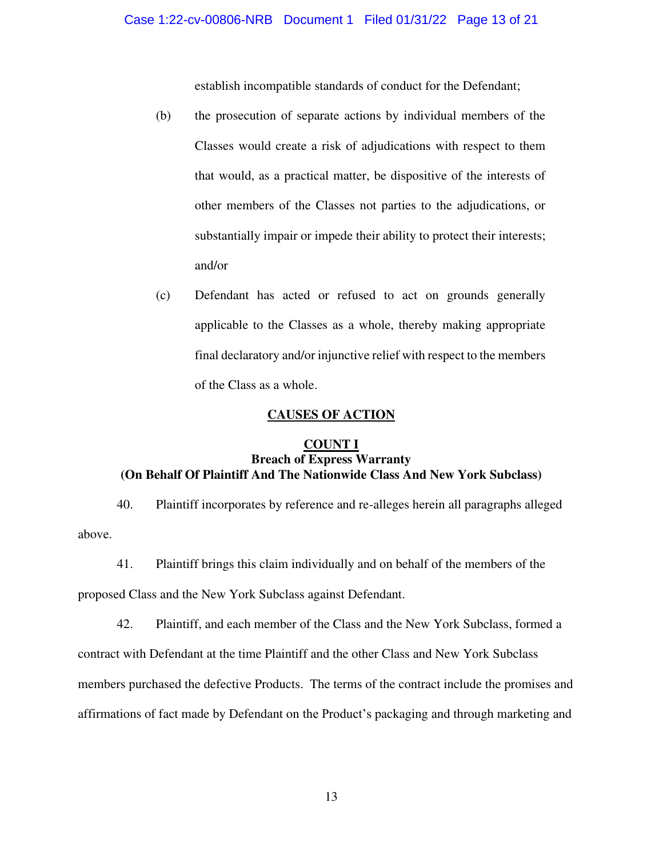establish incompatible standards of conduct for the Defendant;

- (b) the prosecution of separate actions by individual members of the Classes would create a risk of adjudications with respect to them that would, as a practical matter, be dispositive of the interests of other members of the Classes not parties to the adjudications, or substantially impair or impede their ability to protect their interests; and/or
- (c) Defendant has acted or refused to act on grounds generally applicable to the Classes as a whole, thereby making appropriate final declaratory and/or injunctive relief with respect to the members of the Class as a whole.

## **CAUSES OF ACTION**

# **COUNT I Breach of Express Warranty (On Behalf Of Plaintiff And The Nationwide Class And New York Subclass)**

40. Plaintiff incorporates by reference and re-alleges herein all paragraphs alleged above.

41. Plaintiff brings this claim individually and on behalf of the members of the

proposed Class and the New York Subclass against Defendant.

42. Plaintiff, and each member of the Class and the New York Subclass, formed a contract with Defendant at the time Plaintiff and the other Class and New York Subclass members purchased the defective Products. The terms of the contract include the promises and affirmations of fact made by Defendant on the Product's packaging and through marketing and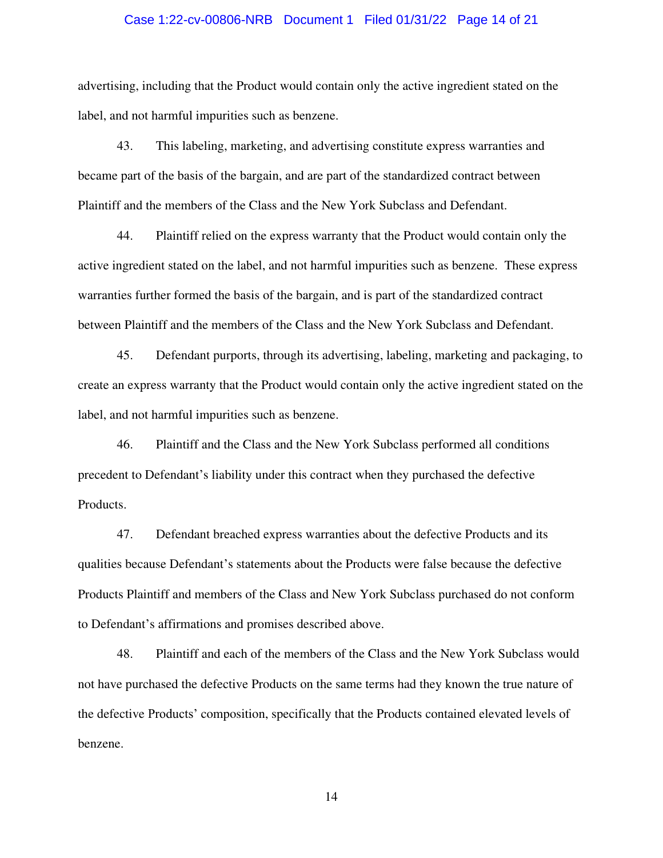## Case 1:22-cv-00806-NRB Document 1 Filed 01/31/22 Page 14 of 21

advertising, including that the Product would contain only the active ingredient stated on the label, and not harmful impurities such as benzene.

43. This labeling, marketing, and advertising constitute express warranties and became part of the basis of the bargain, and are part of the standardized contract between Plaintiff and the members of the Class and the New York Subclass and Defendant.

44. Plaintiff relied on the express warranty that the Product would contain only the active ingredient stated on the label, and not harmful impurities such as benzene. These express warranties further formed the basis of the bargain, and is part of the standardized contract between Plaintiff and the members of the Class and the New York Subclass and Defendant.

45. Defendant purports, through its advertising, labeling, marketing and packaging, to create an express warranty that the Product would contain only the active ingredient stated on the label, and not harmful impurities such as benzene.

46. Plaintiff and the Class and the New York Subclass performed all conditions precedent to Defendant's liability under this contract when they purchased the defective Products.

47. Defendant breached express warranties about the defective Products and its qualities because Defendant's statements about the Products were false because the defective Products Plaintiff and members of the Class and New York Subclass purchased do not conform to Defendant's affirmations and promises described above.

48. Plaintiff and each of the members of the Class and the New York Subclass would not have purchased the defective Products on the same terms had they known the true nature of the defective Products' composition, specifically that the Products contained elevated levels of benzene.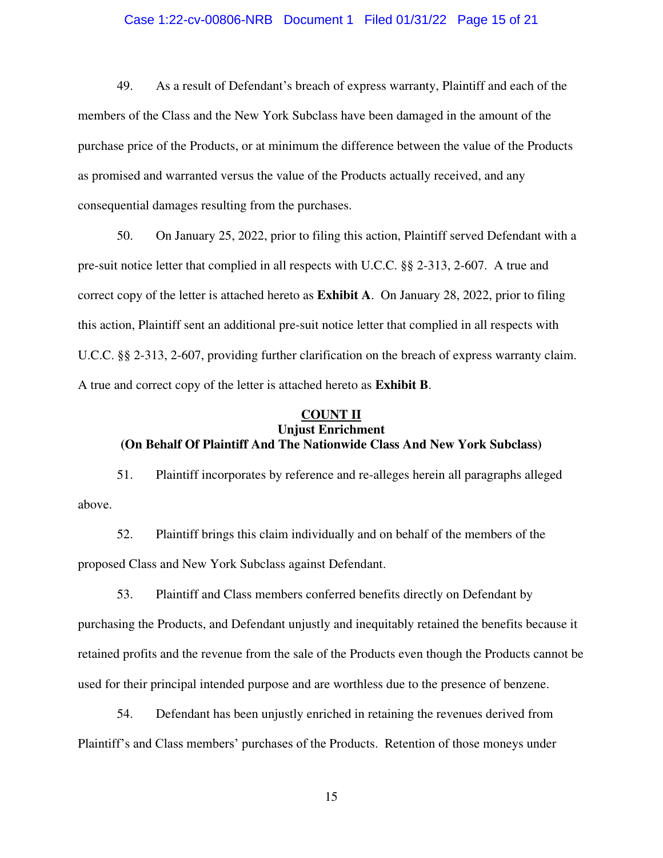# Case 1:22-cv-00806-NRB Document 1 Filed 01/31/22 Page 15 of 21

49. As a result of Defendant's breach of express warranty, Plaintiff and each of the members of the Class and the New York Subclass have been damaged in the amount of the purchase price of the Products, or at minimum the difference between the value of the Products as promised and warranted versus the value of the Products actually received, and any consequential damages resulting from the purchases.

50. On January 25, 2022, prior to filing this action, Plaintiff served Defendant with a pre-suit notice letter that complied in all respects with U.C.C. §§ 2-313, 2-607. A true and correct copy of the letter is attached hereto as **Exhibit A**. On January 28, 2022, prior to filing this action, Plaintiff sent an additional pre-suit notice letter that complied in all respects with U.C.C. §§ 2-313, 2-607, providing further clarification on the breach of express warranty claim. A true and correct copy of the letter is attached hereto as **Exhibit B**.

# **COUNT II Unjust Enrichment (On Behalf Of Plaintiff And The Nationwide Class And New York Subclass)**

51. Plaintiff incorporates by reference and re-alleges herein all paragraphs alleged above.

52. Plaintiff brings this claim individually and on behalf of the members of the proposed Class and New York Subclass against Defendant.

53. Plaintiff and Class members conferred benefits directly on Defendant by purchasing the Products, and Defendant unjustly and inequitably retained the benefits because it retained profits and the revenue from the sale of the Products even though the Products cannot be used for their principal intended purpose and are worthless due to the presence of benzene.

54. Defendant has been unjustly enriched in retaining the revenues derived from Plaintiff's and Class members' purchases of the Products. Retention of those moneys under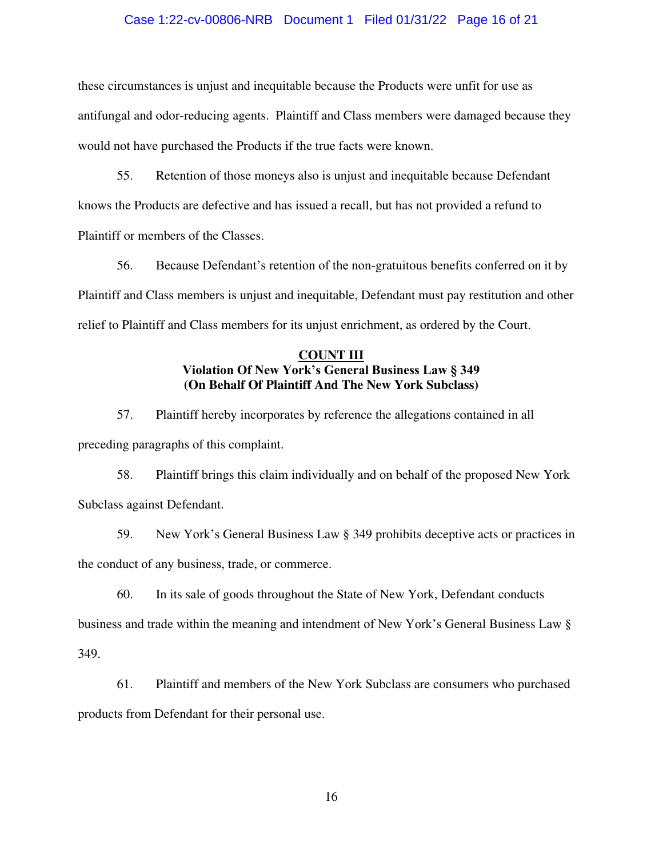## Case 1:22-cv-00806-NRB Document 1 Filed 01/31/22 Page 16 of 21

these circumstances is unjust and inequitable because the Products were unfit for use as antifungal and odor-reducing agents. Plaintiff and Class members were damaged because they would not have purchased the Products if the true facts were known.

55. Retention of those moneys also is unjust and inequitable because Defendant knows the Products are defective and has issued a recall, but has not provided a refund to Plaintiff or members of the Classes.

56. Because Defendant's retention of the non-gratuitous benefits conferred on it by Plaintiff and Class members is unjust and inequitable, Defendant must pay restitution and other relief to Plaintiff and Class members for its unjust enrichment, as ordered by the Court.

# **COUNT III Violation Of New York's General Business Law § 349 (On Behalf Of Plaintiff And The New York Subclass)**

57. Plaintiff hereby incorporates by reference the allegations contained in all preceding paragraphs of this complaint.

58. Plaintiff brings this claim individually and on behalf of the proposed New York Subclass against Defendant.

59. New York's General Business Law § 349 prohibits deceptive acts or practices in the conduct of any business, trade, or commerce.

60. In its sale of goods throughout the State of New York, Defendant conducts

business and trade within the meaning and intendment of New York's General Business Law §

349.

61. Plaintiff and members of the New York Subclass are consumers who purchased products from Defendant for their personal use.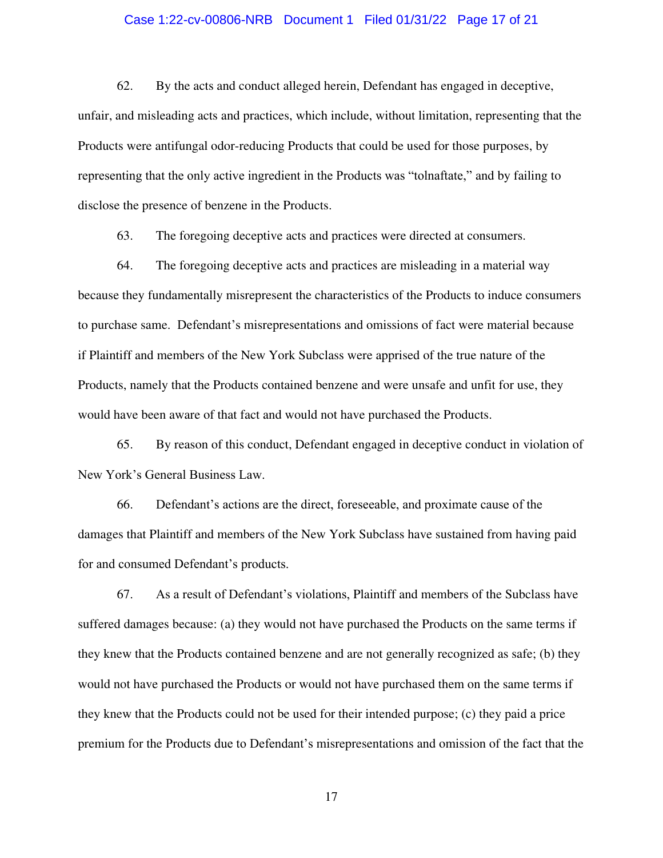# Case 1:22-cv-00806-NRB Document 1 Filed 01/31/22 Page 17 of 21

62. By the acts and conduct alleged herein, Defendant has engaged in deceptive, unfair, and misleading acts and practices, which include, without limitation, representing that the Products were antifungal odor-reducing Products that could be used for those purposes, by representing that the only active ingredient in the Products was "tolnaftate," and by failing to disclose the presence of benzene in the Products.

63. The foregoing deceptive acts and practices were directed at consumers.

64. The foregoing deceptive acts and practices are misleading in a material way because they fundamentally misrepresent the characteristics of the Products to induce consumers to purchase same. Defendant's misrepresentations and omissions of fact were material because if Plaintiff and members of the New York Subclass were apprised of the true nature of the Products, namely that the Products contained benzene and were unsafe and unfit for use, they would have been aware of that fact and would not have purchased the Products.

65. By reason of this conduct, Defendant engaged in deceptive conduct in violation of New York's General Business Law.

66. Defendant's actions are the direct, foreseeable, and proximate cause of the damages that Plaintiff and members of the New York Subclass have sustained from having paid for and consumed Defendant's products.

67. As a result of Defendant's violations, Plaintiff and members of the Subclass have suffered damages because: (a) they would not have purchased the Products on the same terms if they knew that the Products contained benzene and are not generally recognized as safe; (b) they would not have purchased the Products or would not have purchased them on the same terms if they knew that the Products could not be used for their intended purpose; (c) they paid a price premium for the Products due to Defendant's misrepresentations and omission of the fact that the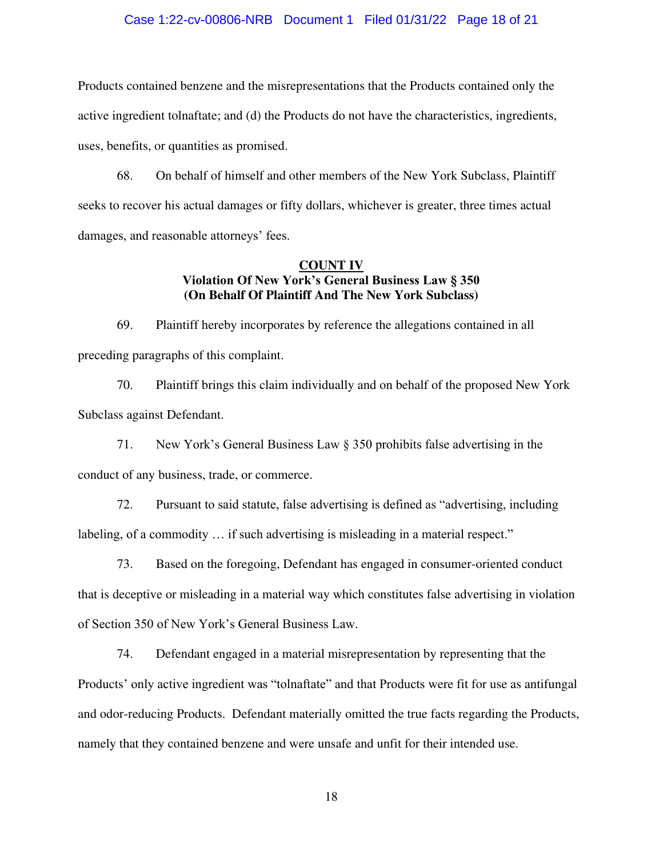## Case 1:22-cv-00806-NRB Document 1 Filed 01/31/22 Page 18 of 21

Products contained benzene and the misrepresentations that the Products contained only the active ingredient tolnaftate; and (d) the Products do not have the characteristics, ingredients, uses, benefits, or quantities as promised.

68. On behalf of himself and other members of the New York Subclass, Plaintiff seeks to recover his actual damages or fifty dollars, whichever is greater, three times actual damages, and reasonable attorneys' fees.

# **COUNT IV Violation Of New York's General Business Law § 350 (On Behalf Of Plaintiff And The New York Subclass)**

69. Plaintiff hereby incorporates by reference the allegations contained in all preceding paragraphs of this complaint.

70. Plaintiff brings this claim individually and on behalf of the proposed New York Subclass against Defendant.

71. New York's General Business Law § 350 prohibits false advertising in the conduct of any business, trade, or commerce.

72. Pursuant to said statute, false advertising is defined as "advertising, including labeling, of a commodity … if such advertising is misleading in a material respect."

73. Based on the foregoing, Defendant has engaged in consumer-oriented conduct that is deceptive or misleading in a material way which constitutes false advertising in violation of Section 350 of New York's General Business Law.

74. Defendant engaged in a material misrepresentation by representing that the Products' only active ingredient was "tolnaftate" and that Products were fit for use as antifungal and odor-reducing Products. Defendant materially omitted the true facts regarding the Products, namely that they contained benzene and were unsafe and unfit for their intended use.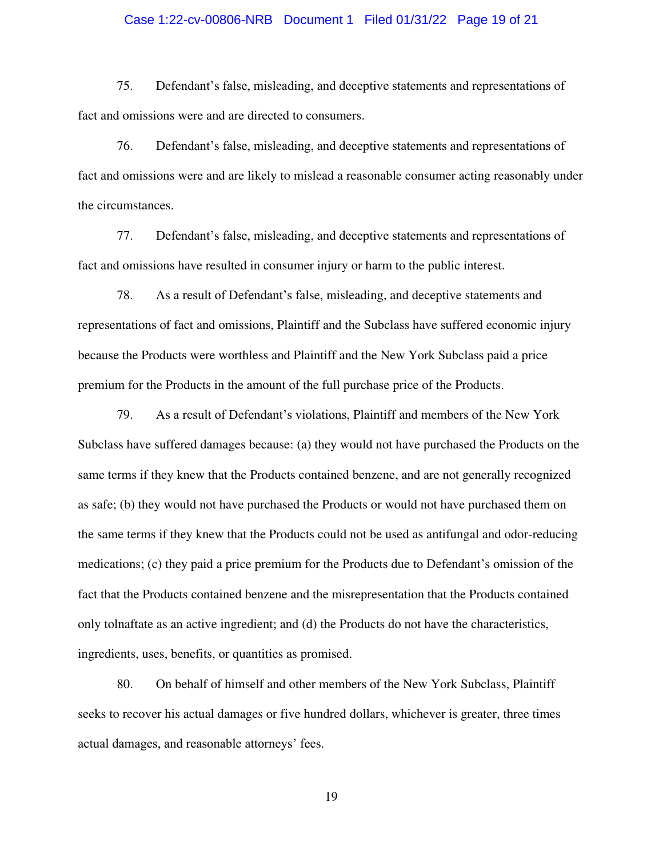# Case 1:22-cv-00806-NRB Document 1 Filed 01/31/22 Page 19 of 21

75. Defendant's false, misleading, and deceptive statements and representations of fact and omissions were and are directed to consumers.

76. Defendant's false, misleading, and deceptive statements and representations of fact and omissions were and are likely to mislead a reasonable consumer acting reasonably under the circumstances.

77. Defendant's false, misleading, and deceptive statements and representations of fact and omissions have resulted in consumer injury or harm to the public interest.

78. As a result of Defendant's false, misleading, and deceptive statements and representations of fact and omissions, Plaintiff and the Subclass have suffered economic injury because the Products were worthless and Plaintiff and the New York Subclass paid a price premium for the Products in the amount of the full purchase price of the Products.

79. As a result of Defendant's violations, Plaintiff and members of the New York Subclass have suffered damages because: (a) they would not have purchased the Products on the same terms if they knew that the Products contained benzene, and are not generally recognized as safe; (b) they would not have purchased the Products or would not have purchased them on the same terms if they knew that the Products could not be used as antifungal and odor-reducing medications; (c) they paid a price premium for the Products due to Defendant's omission of the fact that the Products contained benzene and the misrepresentation that the Products contained only tolnaftate as an active ingredient; and (d) the Products do not have the characteristics, ingredients, uses, benefits, or quantities as promised.

80. On behalf of himself and other members of the New York Subclass, Plaintiff seeks to recover his actual damages or five hundred dollars, whichever is greater, three times actual damages, and reasonable attorneys' fees.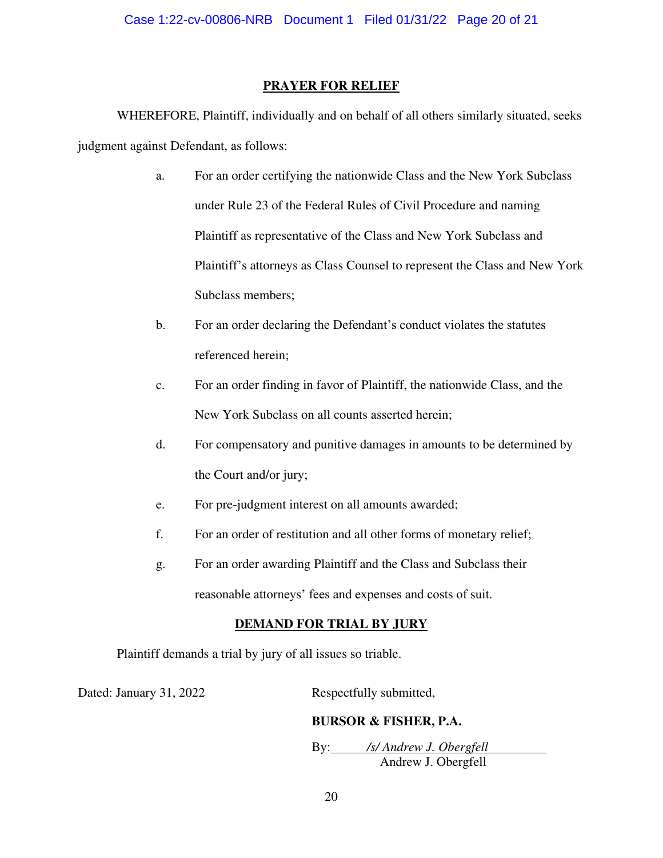# **PRAYER FOR RELIEF**

WHEREFORE, Plaintiff, individually and on behalf of all others similarly situated, seeks judgment against Defendant, as follows:

- a. For an order certifying the nationwide Class and the New York Subclass under Rule 23 of the Federal Rules of Civil Procedure and naming Plaintiff as representative of the Class and New York Subclass and Plaintiff's attorneys as Class Counsel to represent the Class and New York Subclass members;
- b. For an order declaring the Defendant's conduct violates the statutes referenced herein;
- c. For an order finding in favor of Plaintiff, the nationwide Class, and the New York Subclass on all counts asserted herein;
- d. For compensatory and punitive damages in amounts to be determined by the Court and/or jury;
- e. For pre-judgment interest on all amounts awarded;
- f. For an order of restitution and all other forms of monetary relief;
- g. For an order awarding Plaintiff and the Class and Subclass their reasonable attorneys' fees and expenses and costs of suit.

# **DEMAND FOR TRIAL BY JURY**

Plaintiff demands a trial by jury of all issues so triable.

Dated: January 31, 2022 Respectfully submitted,

# **BURSOR & FISHER, P.A.**

 By: */s/ Andrew J. Obergfell*  Andrew J. Obergfell